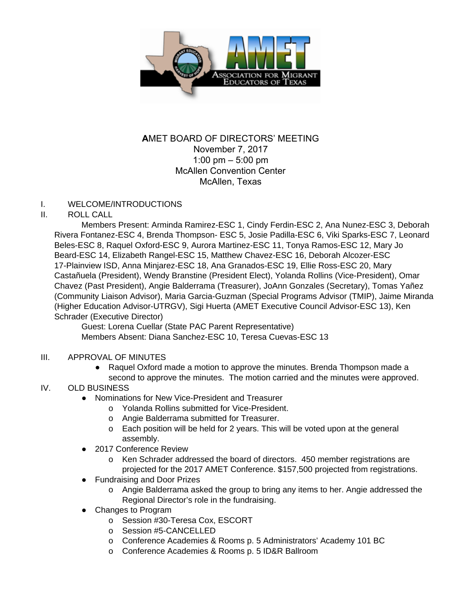

# **A**MET BOARD OF DIRECTORS' MEETING November 7, 2017 1:00 pm – 5:00 pm McAllen Convention Center McAllen, Texas

### I. WELCOME/INTRODUCTIONS

### II. ROLL CALL

Members Present: Arminda Ramirez-ESC 1, Cindy Ferdin-ESC 2, Ana Nunez-ESC 3, Deborah Rivera Fontanez-ESC 4, Brenda Thompson- ESC 5, Josie Padilla-ESC 6, Viki Sparks-ESC 7, Leonard Beles-ESC 8, Raquel Oxford-ESC 9, Aurora Martinez-ESC 11, Tonya Ramos-ESC 12, Mary Jo Beard-ESC 14, Elizabeth Rangel-ESC 15, Matthew Chavez-ESC 16, Deborah Alcozer-ESC 17-Plainview ISD, Anna Minjarez-ESC 18, Ana Granados-ESC 19, Ellie Ross-ESC 20, Mary Castañuela (President), Wendy Branstine (President Elect), Yolanda Rollins (Vice-President), Omar Chavez (Past President), Angie Balderrama (Treasurer), JoAnn Gonzales (Secretary), Tomas Yañez (Community Liaison Advisor), Maria Garcia-Guzman (Special Programs Advisor (TMIP), Jaime Miranda (Higher Education Advisor-UTRGV), Sigi Huerta (AMET Executive Council Advisor-ESC 13), Ken Schrader (Executive Director)

Guest: Lorena Cuellar (State PAC Parent Representative) Members Absent: Diana Sanchez-ESC 10, Teresa Cuevas-ESC 13

#### III. APPROVAL OF MINUTES

● Raquel Oxford made a motion to approve the minutes. Brenda Thompson made a second to approve the minutes. The motion carried and the minutes were approved.

## IV. OLD BUSINESS

- Nominations for New Vice-President and Treasurer
	- o Yolanda Rollins submitted for Vice-President.
	- o Angie Balderrama submitted for Treasurer.
	- o Each position will be held for 2 years. This will be voted upon at the general assembly.
- 2017 Conference Review
	- o Ken Schrader addressed the board of directors. 450 member registrations are projected for the 2017 AMET Conference. \$157,500 projected from registrations.
- Fundraising and Door Prizes
	- o Angie Balderrama asked the group to bring any items to her. Angie addressed the Regional Director's role in the fundraising.
- Changes to Program
	- o Session #30-Teresa Cox, ESCORT
	- o Session #5-CANCELLED
	- o Conference Academies & Rooms p. 5 Administrators' Academy 101 BC
	- o Conference Academies & Rooms p. 5 ID&R Ballroom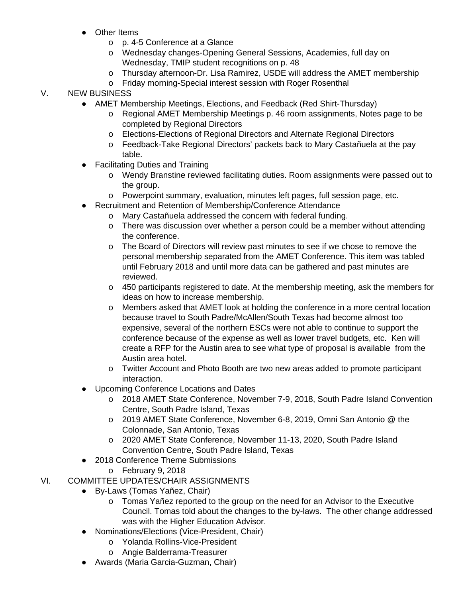- Other Items
	- o p. 4-5 Conference at a Glance
	- o Wednesday changes-Opening General Sessions, Academies, full day on Wednesday, TMIP student recognitions on p. 48
	- o Thursday afternoon-Dr. Lisa Ramirez, USDE will address the AMET membership
	- o Friday morning-Special interest session with Roger Rosenthal

## V. NEW BUSINESS

- AMET Membership Meetings, Elections, and Feedback (Red Shirt-Thursday)
	- o Regional AMET Membership Meetings p. 46 room assignments, Notes page to be completed by Regional Directors
	- o Elections-Elections of Regional Directors and Alternate Regional Directors
	- o Feedback-Take Regional Directors' packets back to Mary Castañuela at the pay table.
- Facilitating Duties and Training
	- o Wendy Branstine reviewed facilitating duties. Room assignments were passed out to the group.
	- o Powerpoint summary, evaluation, minutes left pages, full session page, etc.
- Recruitment and Retention of Membership/Conference Attendance
	- o Mary Castañuela addressed the concern with federal funding.
	- o There was discussion over whether a person could be a member without attending the conference.
	- o The Board of Directors will review past minutes to see if we chose to remove the personal membership separated from the AMET Conference. This item was tabled until February 2018 and until more data can be gathered and past minutes are reviewed.
	- o 450 participants registered to date. At the membership meeting, ask the members for ideas on how to increase membership.
	- o Members asked that AMET look at holding the conference in a more central location because travel to South Padre/McAllen/South Texas had become almost too expensive, several of the northern ESCs were not able to continue to support the conference because of the expense as well as lower travel budgets, etc. Ken will create a RFP for the Austin area to see what type of proposal is available from the Austin area hotel.
	- o Twitter Account and Photo Booth are two new areas added to promote participant interaction.
- Upcoming Conference Locations and Dates
	- o 2018 AMET State Conference, November 7-9, 2018, South Padre Island Convention Centre, South Padre Island, Texas
	- o 2019 AMET State Conference, November 6-8, 2019, Omni San Antonio @ the Colonnade, San Antonio, Texas
	- o 2020 AMET State Conference, November 11-13, 2020, South Padre Island Convention Centre, South Padre Island, Texas
- 2018 Conference Theme Submissions
	- o February 9, 2018
- VI. COMMITTEE UPDATES/CHAIR ASSIGNMENTS
	- By-Laws (Tomas Yañez, Chair)
		- o Tomas Yañez reported to the group on the need for an Advisor to the Executive Council. Tomas told about the changes to the by-laws. The other change addressed was with the Higher Education Advisor.
	- Nominations/Elections (Vice-President, Chair)
		- o Yolanda Rollins-Vice-President
		- o Angie Balderrama-Treasurer
	- Awards (Maria Garcia-Guzman, Chair)